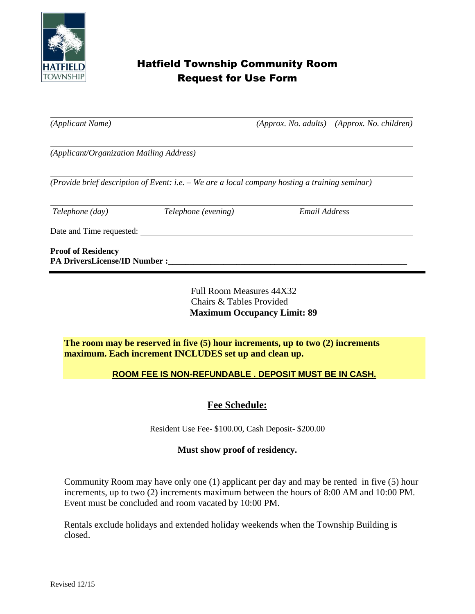

# Hatfield Township Community Room Request for Use Form

*(Applicant Name) (Approx. No. adults) (Approx. No. children)*

*(Applicant/Organization Mailing Address)* 

*(Provide brief description of Event: i.e. – We are a local company hosting a training seminar)*

*Telephone (day) Telephone (evening) Email Address*

Date and Time requested:

**Proof of Residency PA DriversLicense/ID Number :\_\_\_\_\_\_\_\_\_\_\_\_\_\_\_\_\_\_\_\_\_\_\_\_\_\_\_\_\_\_\_\_\_\_\_\_\_\_\_\_\_\_\_\_\_\_\_\_\_\_\_\_\_\_\_\_**

> Full Room Measures 44X32 Chairs & Tables Provided **Maximum Occupancy Limit: 89**

**The room may be reserved in five (5) hour increments, up to two (2) increments maximum. Each increment INCLUDES set up and clean up.**

#### **ROOM FEE IS NON-REFUNDABLE . DEPOSIT MUST BE IN CASH.**

### **Fee Schedule:**

Resident Use Fee- \$100.00, Cash Deposit- \$200.00

#### **Must show proof of residency.**

Community Room may have only one (1) applicant per day and may be rented in five (5) hour increments, up to two (2) increments maximum between the hours of 8:00 AM and 10:00 PM. Event must be concluded and room vacated by 10:00 PM.

Rentals exclude holidays and extended holiday weekends when the Township Building is closed.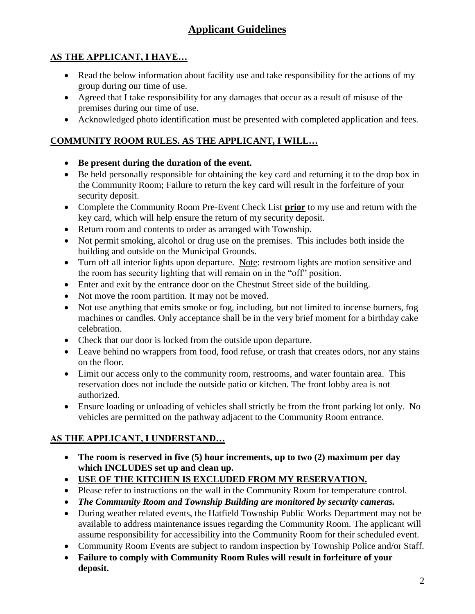# **Applicant Guidelines**

## **AS THE APPLICANT, I HAVE…**

- Read the below information about facility use and take responsibility for the actions of my group during our time of use.
- Agreed that I take responsibility for any damages that occur as a result of misuse of the premises during our time of use.
- Acknowledged photo identification must be presented with completed application and fees.

### **COMMUNITY ROOM RULES. AS THE APPLICANT, I WILL…**

- **Be present during the duration of the event.**
- Be held personally responsible for obtaining the key card and returning it to the drop box in the Community Room; Failure to return the key card will result in the forfeiture of your security deposit.
- Complete the Community Room Pre-Event Check List **prior** to my use and return with the key card, which will help ensure the return of my security deposit.
- Return room and contents to order as arranged with Township.
- Not permit smoking, alcohol or drug use on the premises. This includes both inside the building and outside on the Municipal Grounds.
- Turn off all interior lights upon departure. Note: restroom lights are motion sensitive and the room has security lighting that will remain on in the "off" position.
- Enter and exit by the entrance door on the Chestnut Street side of the building.
- Not move the room partition. It may not be moved.
- Not use anything that emits smoke or fog, including, but not limited to incense burners, fog machines or candles. Only acceptance shall be in the very brief moment for a birthday cake celebration.
- Check that our door is locked from the outside upon departure.
- Leave behind no wrappers from food, food refuse, or trash that creates odors, nor any stains on the floor.
- Limit our access only to the community room, restrooms, and water fountain area. This reservation does not include the outside patio or kitchen. The front lobby area is not authorized.
- Ensure loading or unloading of vehicles shall strictly be from the front parking lot only. No vehicles are permitted on the pathway adjacent to the Community Room entrance.

## **AS THE APPLICANT, I UNDERSTAND…**

- **The room is reserved in five (5) hour increments, up to two (2) maximum per day which INCLUDES set up and clean up.**
- **USE OF THE KITCHEN IS EXCLUDED FROM MY RESERVATION.**
- Please refer to instructions on the wall in the Community Room for temperature control.
- *The Community Room and Township Building are monitored by security cameras.*
- During weather related events, the Hatfield Township Public Works Department may not be available to address maintenance issues regarding the Community Room. The applicant will assume responsibility for accessibility into the Community Room for their scheduled event.
- Community Room Events are subject to random inspection by Township Police and/or Staff.
- **Failure to comply with Community Room Rules will result in forfeiture of your deposit.**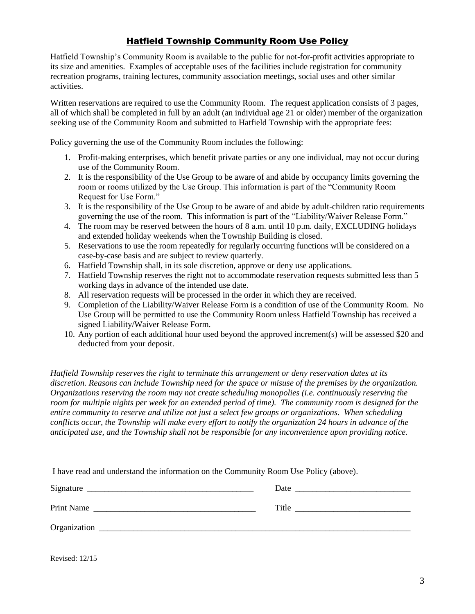#### Hatfield Township Community Room Use Policy

Hatfield Township's Community Room is available to the public for not-for-profit activities appropriate to its size and amenities. Examples of acceptable uses of the facilities include registration for community recreation programs, training lectures, community association meetings, social uses and other similar activities.

Written reservations are required to use the Community Room. The request application consists of 3 pages, all of which shall be completed in full by an adult (an individual age 21 or older) member of the organization seeking use of the Community Room and submitted to Hatfield Township with the appropriate fees:

Policy governing the use of the Community Room includes the following:

- 1. Profit-making enterprises, which benefit private parties or any one individual, may not occur during use of the Community Room.
- 2. It is the responsibility of the Use Group to be aware of and abide by occupancy limits governing the room or rooms utilized by the Use Group. This information is part of the "Community Room Request for Use Form."
- 3. It is the responsibility of the Use Group to be aware of and abide by adult-children ratio requirements governing the use of the room. This information is part of the "Liability/Waiver Release Form."
- 4. The room may be reserved between the hours of 8 a.m. until 10 p.m. daily, EXCLUDING holidays and extended holiday weekends when the Township Building is closed.
- 5. Reservations to use the room repeatedly for regularly occurring functions will be considered on a case-by-case basis and are subject to review quarterly.
- 6. Hatfield Township shall, in its sole discretion, approve or deny use applications.
- 7. Hatfield Township reserves the right not to accommodate reservation requests submitted less than 5 working days in advance of the intended use date.
- 8. All reservation requests will be processed in the order in which they are received.
- 9. Completion of the Liability/Waiver Release Form is a condition of use of the Community Room. No Use Group will be permitted to use the Community Room unless Hatfield Township has received a signed Liability/Waiver Release Form.
- 10. Any portion of each additional hour used beyond the approved increment(s) will be assessed \$20 and deducted from your deposit.

*Hatfield Township reserves the right to terminate this arrangement or deny reservation dates at its discretion. Reasons can include Township need for the space or misuse of the premises by the organization. Organizations reserving the room may not create scheduling monopolies (i.e. continuously reserving the room for multiple nights per week for an extended period of time). The community room is designed for the entire community to reserve and utilize not just a select few groups or organizations. When scheduling conflicts occur, the Township will make every effort to notify the organization 24 hours in advance of the anticipated use, and the Township shall not be responsible for any inconvenience upon providing notice.*

| I have read and understand the information on the Community Room Use Policy (above). |  |  |
|--------------------------------------------------------------------------------------|--|--|
|                                                                                      |  |  |
|                                                                                      |  |  |
|                                                                                      |  |  |

Revised: 12/15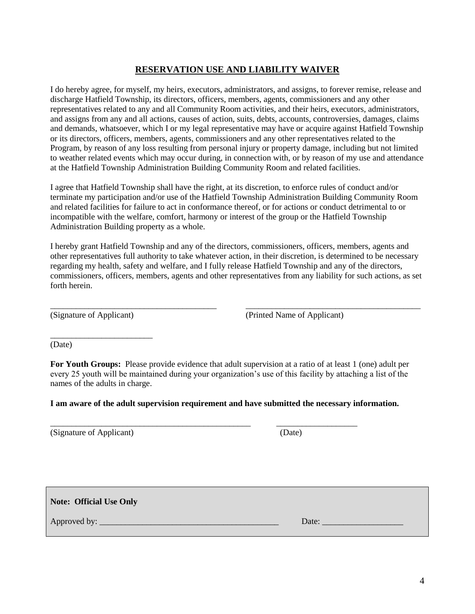#### **RESERVATION USE AND LIABILITY WAIVER**

I do hereby agree, for myself, my heirs, executors, administrators, and assigns, to forever remise, release and discharge Hatfield Township, its directors, officers, members, agents, commissioners and any other representatives related to any and all Community Room activities, and their heirs, executors, administrators, and assigns from any and all actions, causes of action, suits, debts, accounts, controversies, damages, claims and demands, whatsoever, which I or my legal representative may have or acquire against Hatfield Township or its directors, officers, members, agents, commissioners and any other representatives related to the Program, by reason of any loss resulting from personal injury or property damage, including but not limited to weather related events which may occur during, in connection with, or by reason of my use and attendance at the Hatfield Township Administration Building Community Room and related facilities.

I agree that Hatfield Township shall have the right, at its discretion, to enforce rules of conduct and/or terminate my participation and/or use of the Hatfield Township Administration Building Community Room and related facilities for failure to act in conformance thereof, or for actions or conduct detrimental to or incompatible with the welfare, comfort, harmony or interest of the group or the Hatfield Township Administration Building property as a whole.

I hereby grant Hatfield Township and any of the directors, commissioners, officers, members, agents and other representatives full authority to take whatever action, in their discretion, is determined to be necessary regarding my health, safety and welfare, and I fully release Hatfield Township and any of the directors, commissioners, officers, members, agents and other representatives from any liability for such actions, as set forth herein.

\_\_\_\_\_\_\_\_\_\_\_\_\_\_\_\_\_\_\_\_\_\_\_\_\_\_\_\_\_\_\_\_\_\_\_\_\_\_\_ \_\_\_\_\_\_\_\_\_\_\_\_\_\_\_\_\_\_\_\_\_\_\_\_\_\_\_\_\_\_\_\_\_\_\_\_\_\_\_\_\_

\_\_\_\_\_\_\_\_\_\_\_\_\_\_\_\_\_\_\_\_\_\_\_\_

(Signature of Applicant) (Printed Name of Applicant)

(Date)

**For Youth Groups:** Please provide evidence that adult supervision at a ratio of at least 1 (one) adult per every 25 youth will be maintained during your organization's use of this facility by attaching a list of the names of the adults in charge.

**I am aware of the adult supervision requirement and have submitted the necessary information.**

\_\_\_\_\_\_\_\_\_\_\_\_\_\_\_\_\_\_\_\_\_\_\_\_\_\_\_\_\_\_\_\_\_\_\_\_\_\_\_\_\_\_\_\_\_\_\_ \_\_\_\_\_\_\_\_\_\_\_\_\_\_\_\_\_\_\_

(Signature of Applicant) (Date)

**Note: Official Use Only**

Approved by: \_\_\_\_\_\_\_\_\_\_\_\_\_\_\_\_\_\_\_\_\_\_\_\_\_\_\_\_\_\_\_\_\_\_\_\_\_\_\_\_\_\_ Date: \_\_\_\_\_\_\_\_\_\_\_\_\_\_\_\_\_\_\_